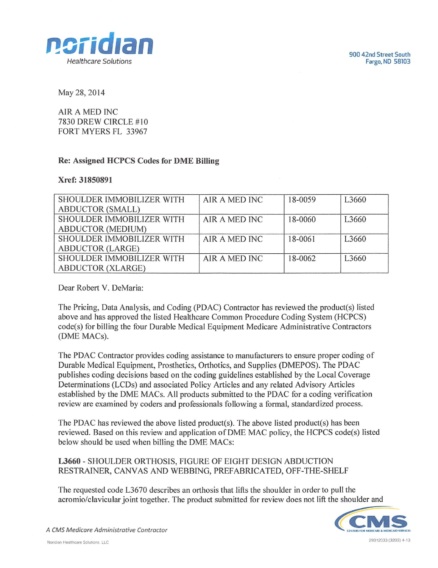



May 28, 2014

AIR A MED INC 7830 DREW CIRCLE #10 FORT MYERS FL 33967

## Re: Assigned HCPCS Codes for DME Billing

## Xref: 31850891

| SHOULDER IMMOBILIZER WITH | AIR A MED INC | 18-0059 | L3660             |
|---------------------------|---------------|---------|-------------------|
| <b>ABDUCTOR (SMALL)</b>   |               |         |                   |
| SHOULDER IMMOBILIZER WITH | AIR A MED INC | 18-0060 | L3660             |
| <b>ABDUCTOR (MEDIUM)</b>  |               |         |                   |
| SHOULDER IMMOBILIZER WITH | AIR A MED INC | 18-0061 | L <sub>3660</sub> |
| <b>ABDUCTOR (LARGE)</b>   |               |         |                   |
| SHOULDER IMMOBILIZER WITH | AIR A MED INC | 18-0062 | L <sub>3660</sub> |
| <b>ABDUCTOR (XLARGE)</b>  |               |         |                   |

Dear Robert V. DeMaria:

The Pricing, Data Analysis, and Coding (PDAC) Contractor has reviewed the product(s) listed above and has approved the listed Healthcare Common Procedure Coding System (HCPCS) code(s) for billing the four Durable Medical Equipment Medicare Administrative Contractors (DME MACs).

The PDAC Contractor provides coding assistance to manufacturers to ensure proper coding of Durable Medical Equipment, Prosthetics, Orthotics, and Supplies (DMEPOS). The PDAC publishes coding decisions based on the coding guidelines established by the Local Coverage Determinations (LCDs) and associated Policy Articles and any related Advisory Articles established by the DME MACs. AH products submitted to the PDAC for a coding verification review are examined by coders and professionals following a formal, standardized process.

The PDAC has reviewed the above listed product(s). The above listed product(s) has been reviewed. Based on this review and application of DME MAC policy, the HCPCS code(s) listed below should be used when billing the DME MACs:

L3660 - SHOULDER ORTHOSIS, FIGURE OF EIGHT DESIGN ABDUCTION RESTRAINER, CANVAS AND WEBBING, PREFABRICATED, OFF-THE-SHELF

The requested code L3670 describes an orthosis that lifts the shoulder in order to pull the acromio/clavicular joint together. The product submitted for review does not lift the shoulder and



A CMS Medicare Administrative Contractor Noridian Healthcare Solutions LLC 29312033(3203)4-13